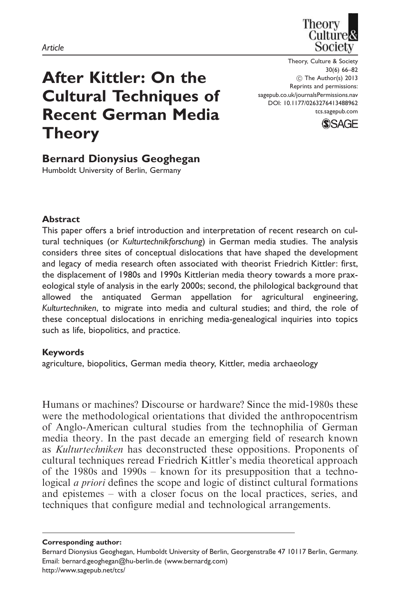

Theory, Culture & Society 30(6) 66–82 ! The Author(s) 2013 Reprints and permissions: sagepub.co.uk/journalsPermissions.nav DOI: 10.1177/0263276413488962 tcs.sagepub.com



# After Kittler: On the Cultural Techniques of Recent German Media Theory

Bernard Dionysius Geoghegan Humboldt University of Berlin, Germany

#### Abstract

This paper offers a brief introduction and interpretation of recent research on cultural techniques (or Kulturtechnikforschung) in German media studies. The analysis considers three sites of conceptual dislocations that have shaped the development and legacy of media research often associated with theorist Friedrich Kittler: first, the displacement of 1980s and 1990s Kittlerian media theory towards a more praxeological style of analysis in the early 2000s; second, the philological background that allowed the antiquated German appellation for agricultural engineering, Kulturtechniken, to migrate into media and cultural studies; and third, the role of these conceptual dislocations in enriching media-genealogical inquiries into topics such as life, biopolitics, and practice.

#### Keywords

agriculture, biopolitics, German media theory, Kittler, media archaeology

Humans or machines? Discourse or hardware? Since the mid-1980s these were the methodological orientations that divided the anthropocentrism of Anglo-American cultural studies from the technophilia of German media theory. In the past decade an emerging field of research known as Kulturtechniken has deconstructed these oppositions. Proponents of cultural techniques reread Friedrich Kittler's media theoretical approach of the 1980s and 1990s – known for its presupposition that a technological a priori defines the scope and logic of distinct cultural formations and epistemes – with a closer focus on the local practices, series, and techniques that configure medial and technological arrangements.

Corresponding author:

Bernard Dionysius Geoghegan, Humboldt University of Berlin, Georgenstraße 47 10117 Berlin, Germany. Email: bernard.geoghegan@hu-berlin.de (www.bernardg.com) http://www.sagepub.net/tcs/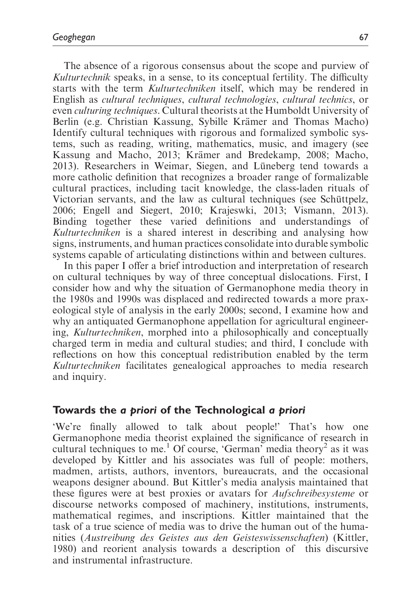The absence of a rigorous consensus about the scope and purview of Kulturtechnik speaks, in a sense, to its conceptual fertility. The difficulty starts with the term Kulturtechniken itself, which may be rendered in English as cultural techniques, cultural technologies, cultural technics, or even *culturing techniques*. Cultural theorists at the Humboldt University of Berlin (e.g. Christian Kassung, Sybille Krämer and Thomas Macho) Identify cultural techniques with rigorous and formalized symbolic systems, such as reading, writing, mathematics, music, and imagery (see Kassung and Macho, 2013; Krämer and Bredekamp, 2008; Macho, 2013). Researchers in Weimar, Siegen, and Lüneberg tend towards a more catholic definition that recognizes a broader range of formalizable cultural practices, including tacit knowledge, the class-laden rituals of Victorian servants, and the law as cultural techniques (see Schüttpelz, 2006; Engell and Siegert, 2010; Krajeswki, 2013; Vismann, 2013). Binding together these varied definitions and understandings of Kulturtechniken is a shared interest in describing and analysing how signs, instruments, and human practices consolidate into durable symbolic systems capable of articulating distinctions within and between cultures.

In this paper I offer a brief introduction and interpretation of research on cultural techniques by way of three conceptual dislocations. First, I consider how and why the situation of Germanophone media theory in the 1980s and 1990s was displaced and redirected towards a more praxeological style of analysis in the early 2000s; second, I examine how and why an antiquated Germanophone appellation for agricultural engineering, Kulturtechniken, morphed into a philosophically and conceptually charged term in media and cultural studies; and third, I conclude with reflections on how this conceptual redistribution enabled by the term Kulturtechniken facilitates genealogical approaches to media research and inquiry.

#### Towards the a priori of the Technological a priori

'We're finally allowed to talk about people!' That's how one Germanophone media theorist explained the significance of research in cultural techniques to me.<sup>1</sup> Of course, 'German' media theory<sup>2</sup> as it was developed by Kittler and his associates was full of people: mothers, madmen, artists, authors, inventors, bureaucrats, and the occasional weapons designer abound. But Kittler's media analysis maintained that these figures were at best proxies or avatars for Aufschreibesysteme or discourse networks composed of machinery, institutions, instruments, mathematical regimes, and inscriptions. Kittler maintained that the task of a true science of media was to drive the human out of the humanities (Austreibung des Geistes aus den Geisteswissenschaften) (Kittler, 1980) and reorient analysis towards a description of this discursive and instrumental infrastructure.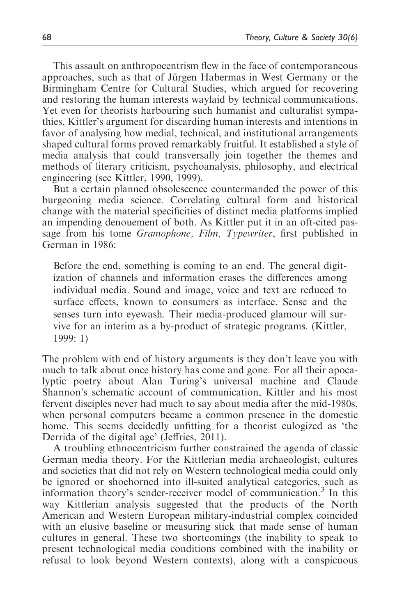This assault on anthropocentrism flew in the face of contemporaneous approaches, such as that of Jürgen Habermas in West Germany or the Birmingham Centre for Cultural Studies, which argued for recovering and restoring the human interests waylaid by technical communications. Yet even for theorists harbouring such humanist and culturalist sympathies, Kittler's argument for discarding human interests and intentions in favor of analysing how medial, technical, and institutional arrangements shaped cultural forms proved remarkably fruitful. It established a style of media analysis that could transversally join together the themes and methods of literary criticism, psychoanalysis, philosophy, and electrical engineering (see Kittler, 1990, 1999).

But a certain planned obsolescence countermanded the power of this burgeoning media science. Correlating cultural form and historical change with the material specificities of distinct media platforms implied an impending denouement of both. As Kittler put it in an oft-cited passage from his tome *Gramophone*, *Film, Typewriter*, first published in German in 1986:

Before the end, something is coming to an end. The general digitization of channels and information erases the differences among individual media. Sound and image, voice and text are reduced to surface effects, known to consumers as interface. Sense and the senses turn into eyewash. Their media-produced glamour will survive for an interim as a by-product of strategic programs. (Kittler, 1999: 1)

The problem with end of history arguments is they don't leave you with much to talk about once history has come and gone. For all their apocalyptic poetry about Alan Turing's universal machine and Claude Shannon's schematic account of communication, Kittler and his most fervent disciples never had much to say about media after the mid-1980s, when personal computers became a common presence in the domestic home. This seems decidedly unfitting for a theorist eulogized as 'the Derrida of the digital age' (Jeffries, 2011).

A troubling ethnocentricism further constrained the agenda of classic German media theory. For the Kittlerian media archaeologist, cultures and societies that did not rely on Western technological media could only be ignored or shoehorned into ill-suited analytical categories, such as information theory's sender-receiver model of communication.<sup>3</sup> In this way Kittlerian analysis suggested that the products of the North American and Western European military-industrial complex coincided with an elusive baseline or measuring stick that made sense of human cultures in general. These two shortcomings (the inability to speak to present technological media conditions combined with the inability or refusal to look beyond Western contexts), along with a conspicuous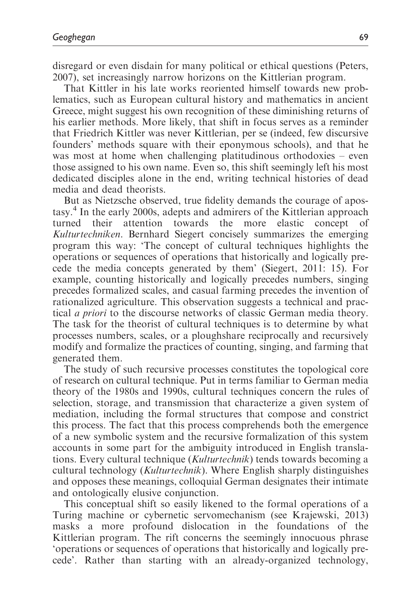disregard or even disdain for many political or ethical questions (Peters, 2007), set increasingly narrow horizons on the Kittlerian program.

That Kittler in his late works reoriented himself towards new problematics, such as European cultural history and mathematics in ancient Greece, might suggest his own recognition of these diminishing returns of his earlier methods. More likely, that shift in focus serves as a reminder that Friedrich Kittler was never Kittlerian, per se (indeed, few discursive founders' methods square with their eponymous schools), and that he was most at home when challenging platitudinous orthodoxies – even those assigned to his own name. Even so, this shift seemingly left his most dedicated disciples alone in the end, writing technical histories of dead media and dead theorists.

But as Nietzsche observed, true fidelity demands the courage of apostasy.<sup>4</sup> In the early 2000s, adepts and admirers of the Kittlerian approach turned their attention towards the more elastic concept Kulturtechniken. Bernhard Siegert concisely summarizes the emerging program this way: 'The concept of cultural techniques highlights the operations or sequences of operations that historically and logically precede the media concepts generated by them' (Siegert, 2011: 15). For example, counting historically and logically precedes numbers, singing precedes formalized scales, and casual farming precedes the invention of rationalized agriculture. This observation suggests a technical and practical a priori to the discourse networks of classic German media theory. The task for the theorist of cultural techniques is to determine by what processes numbers, scales, or a ploughshare reciprocally and recursively modify and formalize the practices of counting, singing, and farming that generated them.

The study of such recursive processes constitutes the topological core of research on cultural technique. Put in terms familiar to German media theory of the 1980s and 1990s, cultural techniques concern the rules of selection, storage, and transmission that characterize a given system of mediation, including the formal structures that compose and constrict this process. The fact that this process comprehends both the emergence of a new symbolic system and the recursive formalization of this system accounts in some part for the ambiguity introduced in English translations. Every cultural technique (Kulturtechnik) tends towards becoming a cultural technology (Kulturtechnik). Where English sharply distinguishes and opposes these meanings, colloquial German designates their intimate and ontologically elusive conjunction.

This conceptual shift so easily likened to the formal operations of a Turing machine or cybernetic servomechanism (see Krajewski, 2013) masks a more profound dislocation in the foundations of the Kittlerian program. The rift concerns the seemingly innocuous phrase 'operations or sequences of operations that historically and logically precede'. Rather than starting with an already-organized technology,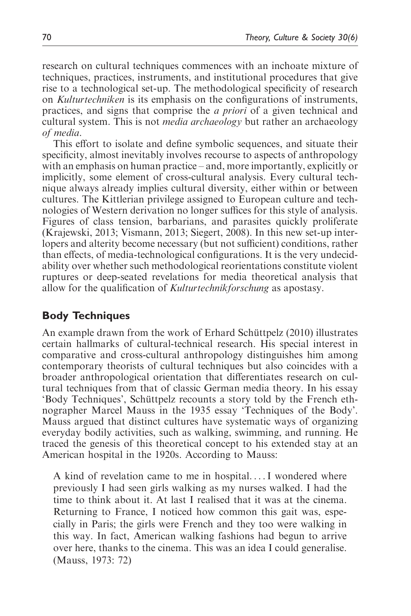research on cultural techniques commences with an inchoate mixture of techniques, practices, instruments, and institutional procedures that give rise to a technological set-up. The methodological specificity of research on Kulturtechniken is its emphasis on the configurations of instruments, practices, and signs that comprise the a priori of a given technical and cultural system. This is not media archaeology but rather an archaeology of media.

This effort to isolate and define symbolic sequences, and situate their specificity, almost inevitably involves recourse to aspects of anthropology with an emphasis on human practice – and, more importantly, explicitly or implicitly, some element of cross-cultural analysis. Every cultural technique always already implies cultural diversity, either within or between cultures. The Kittlerian privilege assigned to European culture and technologies of Western derivation no longer suffices for this style of analysis. Figures of class tension, barbarians, and parasites quickly proliferate (Krajewski, 2013; Vismann, 2013; Siegert, 2008). In this new set-up interlopers and alterity become necessary (but not sufficient) conditions, rather than effects, of media-technological configurations. It is the very undecidability over whether such methodological reorientations constitute violent ruptures or deep-seated revelations for media theoretical analysis that allow for the qualification of Kulturtechnikforschung as apostasy.

## Body Techniques

An example drawn from the work of Erhard Schüttpelz  $(2010)$  illustrates certain hallmarks of cultural-technical research. His special interest in comparative and cross-cultural anthropology distinguishes him among contemporary theorists of cultural techniques but also coincides with a broader anthropological orientation that differentiates research on cultural techniques from that of classic German media theory. In his essay 'Body Techniques', Schüttpelz recounts a story told by the French ethnographer Marcel Mauss in the 1935 essay 'Techniques of the Body'. Mauss argued that distinct cultures have systematic ways of organizing everyday bodily activities, such as walking, swimming, and running. He traced the genesis of this theoretical concept to his extended stay at an American hospital in the 1920s. According to Mauss:

A kind of revelation came to me in hospital. ...I wondered where previously I had seen girls walking as my nurses walked. I had the time to think about it. At last I realised that it was at the cinema. Returning to France, I noticed how common this gait was, especially in Paris; the girls were French and they too were walking in this way. In fact, American walking fashions had begun to arrive over here, thanks to the cinema. This was an idea I could generalise. (Mauss, 1973: 72)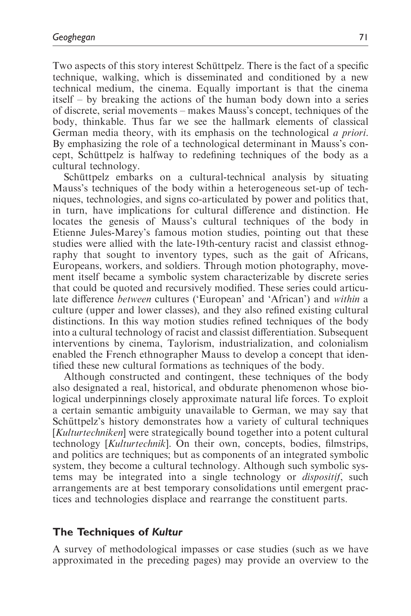Two aspects of this story interest Schüttpelz. There is the fact of a specific technique, walking, which is disseminated and conditioned by a new technical medium, the cinema. Equally important is that the cinema itself – by breaking the actions of the human body down into a series of discrete, serial movements – makes Mauss's concept, techniques of the body, thinkable. Thus far we see the hallmark elements of classical German media theory, with its emphasis on the technological a priori. By emphasizing the role of a technological determinant in Mauss's concept, Schüttpelz is halfway to redefining techniques of the body as a cultural technology.

Schüttpelz embarks on a cultural-technical analysis by situating Mauss's techniques of the body within a heterogeneous set-up of techniques, technologies, and signs co-articulated by power and politics that, in turn, have implications for cultural difference and distinction. He locates the genesis of Mauss's cultural techniques of the body in Etienne Jules-Marey's famous motion studies, pointing out that these studies were allied with the late-19th-century racist and classist ethnography that sought to inventory types, such as the gait of Africans, Europeans, workers, and soldiers. Through motion photography, movement itself became a symbolic system characterizable by discrete series that could be quoted and recursively modified. These series could articulate difference between cultures ('European' and 'African') and within a culture (upper and lower classes), and they also refined existing cultural distinctions. In this way motion studies refined techniques of the body into a cultural technology of racist and classist differentiation. Subsequent interventions by cinema, Taylorism, industrialization, and colonialism enabled the French ethnographer Mauss to develop a concept that identified these new cultural formations as techniques of the body.

Although constructed and contingent, these techniques of the body also designated a real, historical, and obdurate phenomenon whose biological underpinnings closely approximate natural life forces. To exploit a certain semantic ambiguity unavailable to German, we may say that Schüttpelz's history demonstrates how a variety of cultural techniques [Kulturtechniken] were strategically bound together into a potent cultural technology [Kulturtechnik]. On their own, concepts, bodies, filmstrips, and politics are techniques; but as components of an integrated symbolic system, they become a cultural technology. Although such symbolic systems may be integrated into a single technology or dispositif, such arrangements are at best temporary consolidations until emergent practices and technologies displace and rearrange the constituent parts.

#### The Techniques of Kultur

A survey of methodological impasses or case studies (such as we have approximated in the preceding pages) may provide an overview to the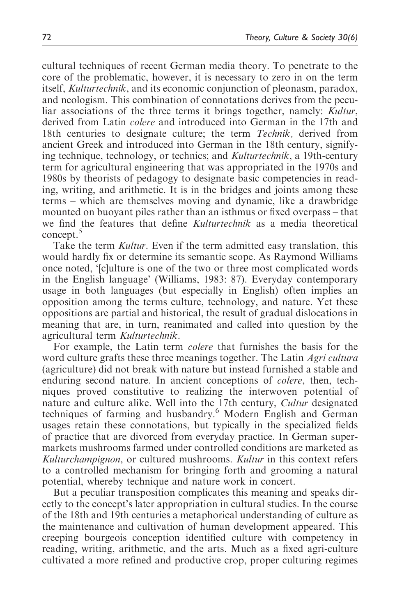cultural techniques of recent German media theory. To penetrate to the core of the problematic, however, it is necessary to zero in on the term itself, Kulturtechnik, and its economic conjunction of pleonasm, paradox, and neologism. This combination of connotations derives from the peculiar associations of the three terms it brings together, namely: Kultur, derived from Latin colere and introduced into German in the 17th and 18th centuries to designate culture; the term *Technik*, derived from ancient Greek and introduced into German in the 18th century, signifying technique, technology, or technics; and Kulturtechnik, a 19th-century term for agricultural engineering that was appropriated in the 1970s and 1980s by theorists of pedagogy to designate basic competencies in reading, writing, and arithmetic. It is in the bridges and joints among these terms – which are themselves moving and dynamic, like a drawbridge mounted on buoyant piles rather than an isthmus or fixed overpass – that we find the features that define Kulturtechnik as a media theoretical concept.<sup>5</sup>

Take the term *Kultur*. Even if the term admitted easy translation, this would hardly fix or determine its semantic scope. As Raymond Williams once noted, '[c]ulture is one of the two or three most complicated words in the English language' (Williams, 1983: 87). Everyday contemporary usage in both languages (but especially in English) often implies an opposition among the terms culture, technology, and nature. Yet these oppositions are partial and historical, the result of gradual dislocations in meaning that are, in turn, reanimated and called into question by the agricultural term Kulturtechnik.

For example, the Latin term colere that furnishes the basis for the word culture grafts these three meanings together. The Latin Agri cultura (agriculture) did not break with nature but instead furnished a stable and enduring second nature. In ancient conceptions of *colere*, then, techniques proved constitutive to realizing the interwoven potential of nature and culture alike. Well into the 17th century, Cultur designated techniques of farming and husbandry.<sup>6</sup> Modern English and German usages retain these connotations, but typically in the specialized fields of practice that are divorced from everyday practice. In German supermarkets mushrooms farmed under controlled conditions are marketed as Kulturchampignon, or cultured mushrooms. Kultur in this context refers to a controlled mechanism for bringing forth and grooming a natural potential, whereby technique and nature work in concert.

But a peculiar transposition complicates this meaning and speaks directly to the concept's later appropriation in cultural studies. In the course of the 18th and 19th centuries a metaphorical understanding of culture as the maintenance and cultivation of human development appeared. This creeping bourgeois conception identified culture with competency in reading, writing, arithmetic, and the arts. Much as a fixed agri-culture cultivated a more refined and productive crop, proper culturing regimes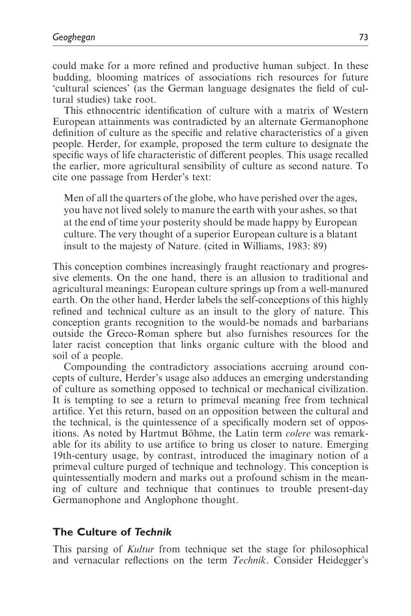could make for a more refined and productive human subject. In these budding, blooming matrices of associations rich resources for future 'cultural sciences' (as the German language designates the field of cultural studies) take root.

This ethnocentric identification of culture with a matrix of Western European attainments was contradicted by an alternate Germanophone definition of culture as the specific and relative characteristics of a given people. Herder, for example, proposed the term culture to designate the specific ways of life characteristic of different peoples. This usage recalled the earlier, more agricultural sensibility of culture as second nature. To cite one passage from Herder's text:

Men of all the quarters of the globe, who have perished over the ages, you have not lived solely to manure the earth with your ashes, so that at the end of time your posterity should be made happy by European culture. The very thought of a superior European culture is a blatant insult to the majesty of Nature. (cited in Williams, 1983: 89)

This conception combines increasingly fraught reactionary and progressive elements. On the one hand, there is an allusion to traditional and agricultural meanings: European culture springs up from a well-manured earth. On the other hand, Herder labels the self-conceptions of this highly refined and technical culture as an insult to the glory of nature. This conception grants recognition to the would-be nomads and barbarians outside the Greco-Roman sphere but also furnishes resources for the later racist conception that links organic culture with the blood and soil of a people.

Compounding the contradictory associations accruing around concepts of culture, Herder's usage also adduces an emerging understanding of culture as something opposed to technical or mechanical civilization. It is tempting to see a return to primeval meaning free from technical artifice. Yet this return, based on an opposition between the cultural and the technical, is the quintessence of a specifically modern set of oppositions. As noted by Hartmut Böhme, the Latin term *colere* was remarkable for its ability to use artifice to bring us closer to nature. Emerging 19th-century usage, by contrast, introduced the imaginary notion of a primeval culture purged of technique and technology. This conception is quintessentially modern and marks out a profound schism in the meaning of culture and technique that continues to trouble present-day Germanophone and Anglophone thought.

#### The Culture of Technik

This parsing of Kultur from technique set the stage for philosophical and vernacular reflections on the term *Technik*. Consider Heidegger's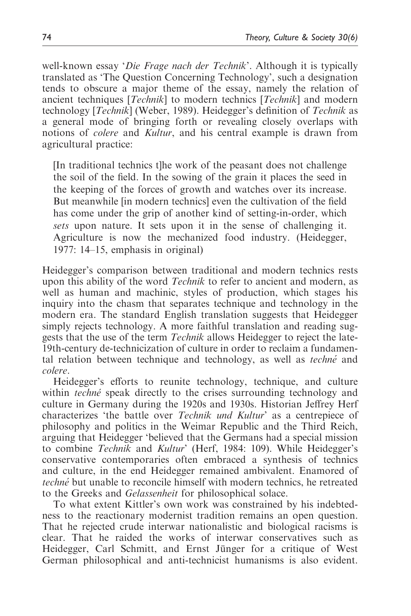well-known essay 'Die Frage nach der Technik'. Although it is typically translated as 'The Question Concerning Technology', such a designation tends to obscure a major theme of the essay, namely the relation of ancient techniques [Technik] to modern technics [Technik] and modern technology [Technik] (Weber, 1989). Heidegger's definition of Technik as a general mode of bringing forth or revealing closely overlaps with notions of colere and Kultur, and his central example is drawn from agricultural practice:

[In traditional technics t]he work of the peasant does not challenge the soil of the field. In the sowing of the grain it places the seed in the keeping of the forces of growth and watches over its increase. But meanwhile [in modern technics] even the cultivation of the field has come under the grip of another kind of setting-in-order, which sets upon nature. It sets upon it in the sense of challenging it. Agriculture is now the mechanized food industry. (Heidegger, 1977: 14–15, emphasis in original)

Heidegger's comparison between traditional and modern technics rests upon this ability of the word *Technik* to refer to ancient and modern, as well as human and machinic, styles of production, which stages his inquiry into the chasm that separates technique and technology in the modern era. The standard English translation suggests that Heidegger simply rejects technology. A more faithful translation and reading suggests that the use of the term *Technik* allows Heidegger to reject the late-19th-century de-technicization of culture in order to reclaim a fundamental relation between technique and technology, as well as *techné* and colere.

Heidegger's efforts to reunite technology, technique, and culture within *techne*<sup>*s*</sup> speak directly to the crises surrounding technology and culture in Germany during the 1920s and 1930s. Historian Jeffrey Herf characterizes 'the battle over Technik und Kultur' as a centrepiece of philosophy and politics in the Weimar Republic and the Third Reich, arguing that Heidegger 'believed that the Germans had a special mission to combine Technik and Kultur' (Herf, 1984: 109). While Heidegger's conservative contemporaries often embraced a synthesis of technics and culture, in the end Heidegger remained ambivalent. Enamored of techné but unable to reconcile himself with modern technics, he retreated to the Greeks and Gelassenheit for philosophical solace.

To what extent Kittler's own work was constrained by his indebtedness to the reactionary modernist tradition remains an open question. That he rejected crude interwar nationalistic and biological racisms is clear. That he raided the works of interwar conservatives such as Heidegger, Carl Schmitt, and Ernst Jünger for a critique of West German philosophical and anti-technicist humanisms is also evident.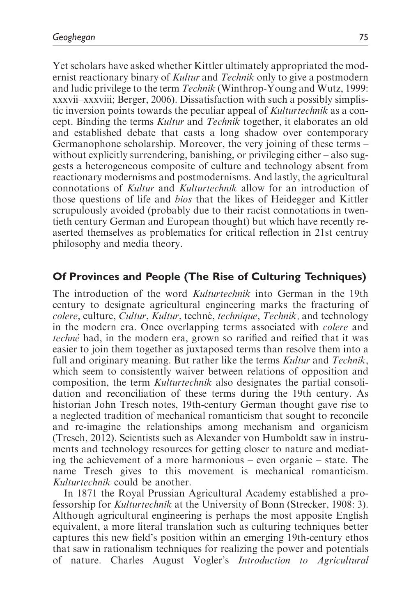Yet scholars have asked whether Kittler ultimately appropriated the modernist reactionary binary of Kultur and Technik only to give a postmodern and ludic privilege to the term Technik (Winthrop-Young and Wutz, 1999: xxxvii–xxxviii; Berger, 2006). Dissatisfaction with such a possibly simplistic inversion points towards the peculiar appeal of Kulturtechnik as a concept. Binding the terms Kultur and Technik together, it elaborates an old and established debate that casts a long shadow over contemporary Germanophone scholarship. Moreover, the very joining of these terms – without explicitly surrendering, banishing, or privileging either – also suggests a heterogeneous composite of culture and technology absent from reactionary modernisms and postmodernisms. And lastly, the agricultural connotations of Kultur and Kulturtechnik allow for an introduction of those questions of life and bios that the likes of Heidegger and Kittler scrupulously avoided (probably due to their racist connotations in twentieth century German and European thought) but which have recently reaserted themselves as problematics for critical reflection in 21st centruy philosophy and media theory.

# Of Provinces and People (The Rise of Culturing Techniques)

The introduction of the word Kulturtechnik into German in the 19th century to designate agricultural engineering marks the fracturing of colere, culture, Cultur, Kultur, techné, technique, Technik, and technology in the modern era. Once overlapping terms associated with colere and techné had, in the modern era, grown so rarified and reified that it was easier to join them together as juxtaposed terms than resolve them into a full and originary meaning. But rather like the terms Kultur and Technik, which seem to consistently waiver between relations of opposition and composition, the term Kulturtechnik also designates the partial consolidation and reconciliation of these terms during the 19th century. As historian John Tresch notes, 19th-century German thought gave rise to a neglected tradition of mechanical romanticism that sought to reconcile and re-imagine the relationships among mechanism and organicism (Tresch, 2012). Scientists such as Alexander von Humboldt saw in instruments and technology resources for getting closer to nature and mediating the achievement of a more harmonious – even organic – state. The name Tresch gives to this movement is mechanical romanticism. Kulturtechnik could be another.

In 1871 the Royal Prussian Agricultural Academy established a professorship for Kulturtechnik at the University of Bonn (Strecker, 1908: 3). Although agricultural engineering is perhaps the most apposite English equivalent, a more literal translation such as culturing techniques better captures this new field's position within an emerging 19th-century ethos that saw in rationalism techniques for realizing the power and potentials of nature. Charles August Vogler's Introduction to Agricultural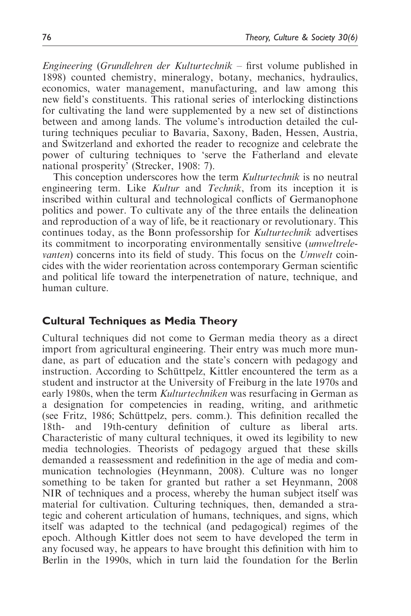Engineering (Grundlehren der Kulturtechnik – first volume published in 1898) counted chemistry, mineralogy, botany, mechanics, hydraulics, economics, water management, manufacturing, and law among this new field's constituents. This rational series of interlocking distinctions for cultivating the land were supplemented by a new set of distinctions between and among lands. The volume's introduction detailed the culturing techniques peculiar to Bavaria, Saxony, Baden, Hessen, Austria, and Switzerland and exhorted the reader to recognize and celebrate the power of culturing techniques to 'serve the Fatherland and elevate national prosperity' (Strecker, 1908: 7).

This conception underscores how the term *Kulturtechnik* is no neutral engineering term. Like Kultur and Technik, from its inception it is inscribed within cultural and technological conflicts of Germanophone politics and power. To cultivate any of the three entails the delineation and reproduction of a way of life, be it reactionary or revolutionary. This continues today, as the Bonn professorship for Kulturtechnik advertises its commitment to incorporating environmentally sensitive *(umweltrele*vanten) concerns into its field of study. This focus on the Umwelt coincides with the wider reorientation across contemporary German scientific and political life toward the interpenetration of nature, technique, and human culture.

#### Cultural Techniques as Media Theory

Cultural techniques did not come to German media theory as a direct import from agricultural engineering. Their entry was much more mundane, as part of education and the state's concern with pedagogy and instruction. According to Schüttpelz, Kittler encountered the term as a student and instructor at the University of Freiburg in the late 1970s and early 1980s, when the term *Kulturtechniken* was resurfacing in German as a designation for competencies in reading, writing, and arithmetic (see Fritz, 1986; Schüttpelz, pers. comm.). This definition recalled the 18th- and 19th-century definition of culture as liberal arts. Characteristic of many cultural techniques, it owed its legibility to new media technologies. Theorists of pedagogy argued that these skills demanded a reassessment and redefinition in the age of media and communication technologies (Heynmann, 2008). Culture was no longer something to be taken for granted but rather a set Heynmann, 2008 NIR of techniques and a process, whereby the human subject itself was material for cultivation. Culturing techniques, then, demanded a strategic and coherent articulation of humans, techniques, and signs, which itself was adapted to the technical (and pedagogical) regimes of the epoch. Although Kittler does not seem to have developed the term in any focused way, he appears to have brought this definition with him to Berlin in the 1990s, which in turn laid the foundation for the Berlin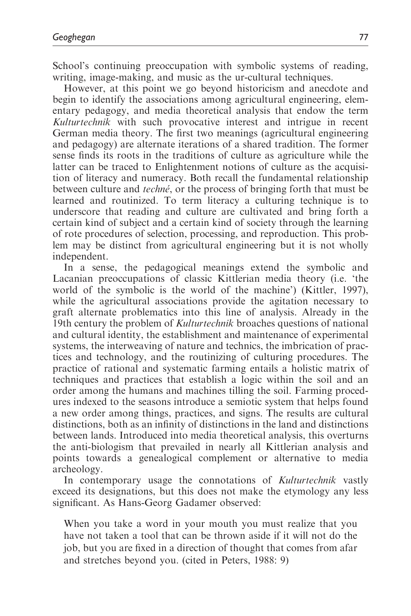School's continuing preoccupation with symbolic systems of reading, writing, image-making, and music as the ur-cultural techniques.

However, at this point we go beyond historicism and anecdote and begin to identify the associations among agricultural engineering, elementary pedagogy, and media theoretical analysis that endow the term Kulturtechnik with such provocative interest and intrigue in recent German media theory. The first two meanings (agricultural engineering and pedagogy) are alternate iterations of a shared tradition. The former sense finds its roots in the traditions of culture as agriculture while the latter can be traced to Enlightenment notions of culture as the acquisition of literacy and numeracy. Both recall the fundamental relationship between culture and *techne*<sup>*'*</sup>, or the process of bringing forth that must be learned and routinized. To term literacy a culturing technique is to underscore that reading and culture are cultivated and bring forth a certain kind of subject and a certain kind of society through the learning of rote procedures of selection, processing, and reproduction. This problem may be distinct from agricultural engineering but it is not wholly independent.

In a sense, the pedagogical meanings extend the symbolic and Lacanian preoccupations of classic Kittlerian media theory (i.e. 'the world of the symbolic is the world of the machine') (Kittler, 1997), while the agricultural associations provide the agitation necessary to graft alternate problematics into this line of analysis. Already in the 19th century the problem of Kulturtechnik broaches questions of national and cultural identity, the establishment and maintenance of experimental systems, the interweaving of nature and technics, the imbrication of practices and technology, and the routinizing of culturing procedures. The practice of rational and systematic farming entails a holistic matrix of techniques and practices that establish a logic within the soil and an order among the humans and machines tilling the soil. Farming procedures indexed to the seasons introduce a semiotic system that helps found a new order among things, practices, and signs. The results are cultural distinctions, both as an infinity of distinctions in the land and distinctions between lands. Introduced into media theoretical analysis, this overturns the anti-biologism that prevailed in nearly all Kittlerian analysis and points towards a genealogical complement or alternative to media archeology.

In contemporary usage the connotations of Kulturtechnik vastly exceed its designations, but this does not make the etymology any less significant. As Hans-Georg Gadamer observed:

When you take a word in your mouth you must realize that you have not taken a tool that can be thrown aside if it will not do the job, but you are fixed in a direction of thought that comes from afar and stretches beyond you. (cited in Peters, 1988: 9)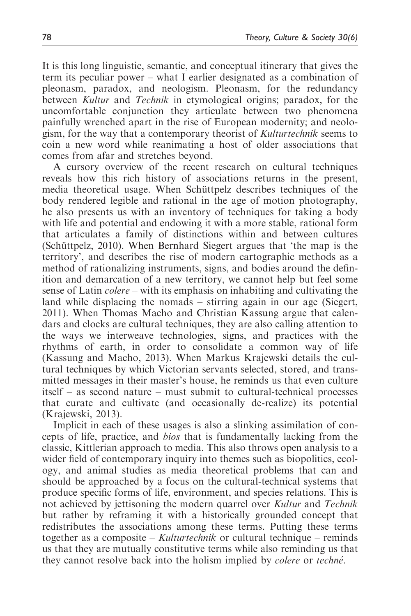It is this long linguistic, semantic, and conceptual itinerary that gives the term its peculiar power – what I earlier designated as a combination of pleonasm, paradox, and neologism. Pleonasm, for the redundancy between Kultur and Technik in etymological origins; paradox, for the uncomfortable conjunction they articulate between two phenomena painfully wrenched apart in the rise of European modernity; and neologism, for the way that a contemporary theorist of Kulturtechnik seems to coin a new word while reanimating a host of older associations that comes from afar and stretches beyond.

A cursory overview of the recent research on cultural techniques reveals how this rich history of associations returns in the present, media theoretical usage. When Schüttpelz describes techniques of the body rendered legible and rational in the age of motion photography, he also presents us with an inventory of techniques for taking a body with life and potential and endowing it with a more stable, rational form that articulates a family of distinctions within and between cultures (Schüttpelz, 2010). When Bernhard Siegert argues that 'the map is the territory', and describes the rise of modern cartographic methods as a method of rationalizing instruments, signs, and bodies around the definition and demarcation of a new territory, we cannot help but feel some sense of Latin colere – with its emphasis on inhabiting and cultivating the land while displacing the nomads – stirring again in our age (Siegert, 2011). When Thomas Macho and Christian Kassung argue that calendars and clocks are cultural techniques, they are also calling attention to the ways we interweave technologies, signs, and practices with the rhythms of earth, in order to consolidate a common way of life (Kassung and Macho, 2013). When Markus Krajewski details the cultural techniques by which Victorian servants selected, stored, and transmitted messages in their master's house, he reminds us that even culture itself – as second nature – must submit to cultural-technical processes that curate and cultivate (and occasionally de-realize) its potential (Krajewski, 2013).

Implicit in each of these usages is also a slinking assimilation of concepts of life, practice, and bios that is fundamentally lacking from the classic, Kittlerian approach to media. This also throws open analysis to a wider field of contemporary inquiry into themes such as biopolitics, ecology, and animal studies as media theoretical problems that can and should be approached by a focus on the cultural-technical systems that produce specific forms of life, environment, and species relations. This is not achieved by jettisoning the modern quarrel over Kultur and Technik but rather by reframing it with a historically grounded concept that redistributes the associations among these terms. Putting these terms together as a composite – Kulturtechnik or cultural technique – reminds us that they are mutually constitutive terms while also reminding us that they cannot resolve back into the holism implied by *colere* or *techné*.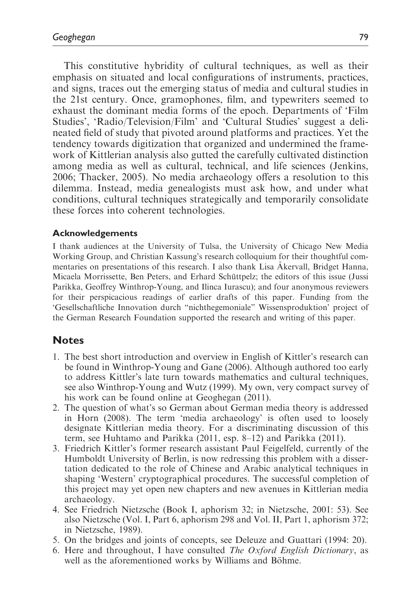This constitutive hybridity of cultural techniques, as well as their emphasis on situated and local configurations of instruments, practices, and signs, traces out the emerging status of media and cultural studies in the 21st century. Once, gramophones, film, and typewriters seemed to exhaust the dominant media forms of the epoch. Departments of 'Film Studies', 'Radio/Television/Film' and 'Cultural Studies' suggest a delineated field of study that pivoted around platforms and practices. Yet the tendency towards digitization that organized and undermined the framework of Kittlerian analysis also gutted the carefully cultivated distinction among media as well as cultural, technical, and life sciences (Jenkins, 2006; Thacker, 2005). No media archaeology offers a resolution to this dilemma. Instead, media genealogists must ask how, and under what conditions, cultural techniques strategically and temporarily consolidate these forces into coherent technologies.

#### Acknowledgements

I thank audiences at the University of Tulsa, the University of Chicago New Media Working Group, and Christian Kassung's research colloquium for their thoughtful commentaries on presentations of this research. I also thank Lisa Akervall, Bridget Hanna, Micaela Morrissette, Ben Peters, and Erhard Schüttpelz; the editors of this issue (Jussi Parikka, Geoffrey Winthrop-Young, and Ilinca Iurascu); and four anonymous reviewers for their perspicacious readings of earlier drafts of this paper. Funding from the 'Gesellschaftliche Innovation durch "nichthegemoniale" Wissensproduktion' project of the German Research Foundation supported the research and writing of this paper.

## **Notes**

- 1. The best short introduction and overview in English of Kittler's research can be found in Winthrop-Young and Gane (2006). Although authored too early to address Kittler's late turn towards mathematics and cultural techniques, see also Winthrop-Young and Wutz (1999). My own, very compact survey of his work can be found online at Geoghegan (2011).
- 2. The question of what's so German about German media theory is addressed in Horn (2008). The term 'media archaeology' is often used to loosely designate Kittlerian media theory. For a discriminating discussion of this term, see Huhtamo and Parikka (2011, esp. 8–12) and Parikka (2011).
- 3. Friedrich Kittler's former research assistant Paul Feigelfeld, currently of the Humboldt University of Berlin, is now redressing this problem with a dissertation dedicated to the role of Chinese and Arabic analytical techniques in shaping 'Western' cryptographical procedures. The successful completion of this project may yet open new chapters and new avenues in Kittlerian media archaeology.
- 4. See Friedrich Nietzsche (Book I, aphorism 32; in Nietzsche, 2001: 53). See also Nietzsche (Vol. I, Part 6, aphorism 298 and Vol. II, Part 1, aphorism 372; in Nietzsche, 1989).
- 5. On the bridges and joints of concepts, see Deleuze and Guattari (1994: 20).
- 6. Here and throughout, I have consulted The Oxford English Dictionary, as well as the aforementioned works by Williams and Böhme.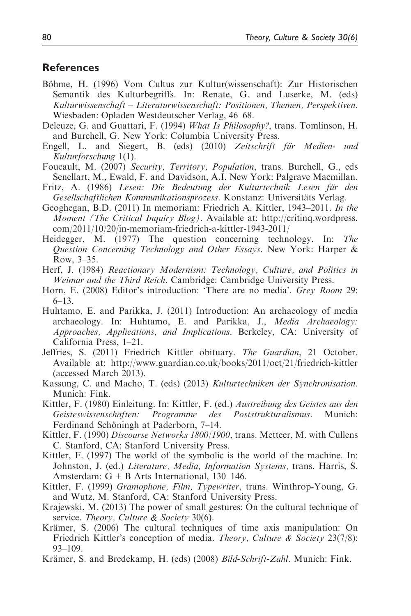#### **References**

- Bo¨hme, H. (1996) Vom Cultus zur Kultur(wissenschaft): Zur Historischen Semantik des Kulturbegriffs. In: Renate, G. and Luserke, M. (eds) Kulturwissenschaft – Literaturwissenschaft: Positionen, Themen, Perspektiven. Wiesbaden: Opladen Westdeutscher Verlag, 46–68.
- Deleuze, G. and Guattari, F. (1994) What Is Philosophy?, trans. Tomlinson, H. and Burchell, G. New York: Columbia University Press.
- Engell, L. and Siegert, B. (eds) (2010) Zeitschrift für Medien- und Kulturforschung 1(1).
- Foucault, M. (2007) Security, Territory, Population, trans. Burchell, G., eds Senellart, M., Ewald, F. and Davidson, A.I. New York: Palgrave Macmillan.
- Fritz, A. (1986) Lesen: Die Bedeutung der Kulturtechnik Lesen für den Gesellschaftlichen Kommunikationsprozess. Konstanz: Universitäts Verlag.
- Geoghegan, B.D. (2011) In memoriam: Friedrich A. Kittler, 1943–2011. In the Moment (The Critical Inquiry Blog). Available at: http://critinq.wordpress. com/2011/10/20/in-memoriam-friedrich-a-kittler-1943-2011/
- Heidegger, M. (1977) The question concerning technology. In: The Question Concerning Technology and Other Essays. New York: Harper & Row, 3–35.
- Herf, J. (1984) Reactionary Modernism: Technology, Culture, and Politics in Weimar and the Third Reich. Cambridge: Cambridge University Press.
- Horn, E. (2008) Editor's introduction: 'There are no media'. Grey Room 29: 6–13.
- Huhtamo, E. and Parikka, J. (2011) Introduction: An archaeology of media archaeology. In: Huhtamo, E. and Parikka, J., Media Archaeology: Approaches, Applications, and Implications. Berkeley, CA: University of California Press, 1–21.
- Jeffries, S. (2011) Friedrich Kittler obituary. The Guardian, 21 October. Available at: http://www.guardian.co.uk/books/2011/oct/21/friedrich-kittler (accessed March 2013).
- Kassung, C. and Macho, T. (eds) (2013) Kulturtechniken der Synchronisation. Munich: Fink.
- Kittler, F. (1980) Einleitung. In: Kittler, F. (ed.) Austreibung des Geistes aus den Geisteswissenschaften: Programme des Poststrukturalismus. Munich: Ferdinand Schöningh at Paderborn, 7–14.
- Kittler, F. (1990) *Discourse Networks 1800/1900*, trans. Metteer, M. with Cullens C. Stanford, CA: Stanford University Press.
- Kittler, F. (1997) The world of the symbolic is the world of the machine. In: Johnston, J. (ed.) Literature, Media, Information Systems, trans. Harris, S. Amsterdam: G + B Arts International, 130–146.
- Kittler, F. (1999) Gramophone, Film, Typewriter, trans. Winthrop-Young, G. and Wutz, M. Stanford, CA: Stanford University Press.
- Krajewski, M. (2013) The power of small gestures: On the cultural technique of service. Theory, Culture & Society 30(6).
- Krämer, S. (2006) The cultural techniques of time axis manipulation: On Friedrich Kittler's conception of media. *Theory, Culture & Society* 23(7/8): 93–109.
- Krämer, S. and Bredekamp, H. (eds) (2008) Bild-Schrift-Zahl. Munich: Fink.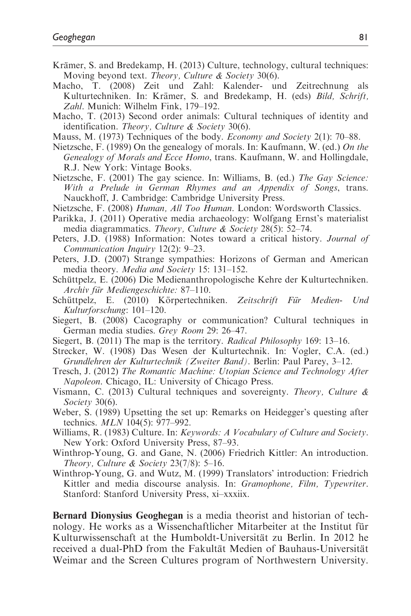- Krämer, S. and Bredekamp, H. (2013) Culture, technology, cultural techniques: Moving beyond text. Theory, Culture & Society 30(6).
- Macho, T. (2008) Zeit und Zahl: Kalender- und Zeitrechnung als Kulturtechniken. In: Krämer, S. and Bredekamp, H. (eds) Bild, Schrift, Zahl. Munich: Wilhelm Fink, 179–192.
- Macho, T. (2013) Second order animals: Cultural techniques of identity and identification. Theory, Culture & Society 30(6).
- Mauss, M. (1973) Techniques of the body. Economy and Society 2(1): 70–88.
- Nietzsche, F. (1989) On the genealogy of morals. In: Kaufmann, W. (ed.) On the Genealogy of Morals and Ecce Homo, trans. Kaufmann, W. and Hollingdale, R.J. New York: Vintage Books.
- Nietzsche, F. (2001) The gay science. In: Williams, B. (ed.) The Gay Science: With a Prelude in German Rhymes and an Appendix of Songs, trans. Nauckhoff, J. Cambridge: Cambridge University Press.
- Nietzsche, F. (2008) Human, All Too Human. London: Wordsworth Classics.
- Parikka, J. (2011) Operative media archaeology: Wolfgang Ernst's materialist media diagrammatics. Theory, Culture & Society 28(5): 52–74.
- Peters, J.D. (1988) Information: Notes toward a critical history. Journal of Communication Inquiry 12(2): 9–23.
- Peters, J.D. (2007) Strange sympathies: Horizons of German and American media theory. Media and Society 15: 131–152.
- Schüttpelz, E. (2006) Die Medienanthropologische Kehre der Kulturtechniken. Archiv für Mediengeschichte: 87–110.
- Schüttpelz, E. (2010) Körpertechniken. Zeitschrift Für Medien- Und Kulturforschung: 101–120.
- Siegert, B. (2008) Cacography or communication? Cultural techniques in German media studies. Grey Room 29: 26–47.
- Siegert, B. (2011) The map is the territory. Radical Philosophy 169: 13–16.
- Strecker, W. (1908) Das Wesen der Kulturtechnik. In: Vogler, C.A. (ed.) Grundlehren der Kulturtechnik (Zweiter Band). Berlin: Paul Parey, 3–12.
- Tresch, J. (2012) The Romantic Machine: Utopian Science and Technology After Napoleon. Chicago, IL: University of Chicago Press.
- Vismann, C. (2013) Cultural techniques and sovereignty. Theory, Culture & Society 30(6).
- Weber, S. (1989) Upsetting the set up: Remarks on Heidegger's questing after technics. MLN 104(5): 977–992.
- Williams, R. (1983) Culture. In: *Keywords: A Vocabulary of Culture and Society*. New York: Oxford University Press, 87–93.
- Winthrop-Young, G. and Gane, N. (2006) Friedrich Kittler: An introduction. Theory, Culture & Society  $23(7/8)$ : 5-16.
- Winthrop-Young, G. and Wutz, M. (1999) Translators' introduction: Friedrich Kittler and media discourse analysis. In: Gramophone, Film, Typewriter. Stanford: Stanford University Press, xi–xxxiix.

Bernard Dionysius Geoghegan is a media theorist and historian of technology. He works as a Wissenchaftlicher Mitarbeiter at the Institut für Kulturwissenschaft at the Humboldt-Universität zu Berlin. In 2012 he received a dual-PhD from the Fakultät Medien of Bauhaus-Universität Weimar and the Screen Cultures program of Northwestern University.